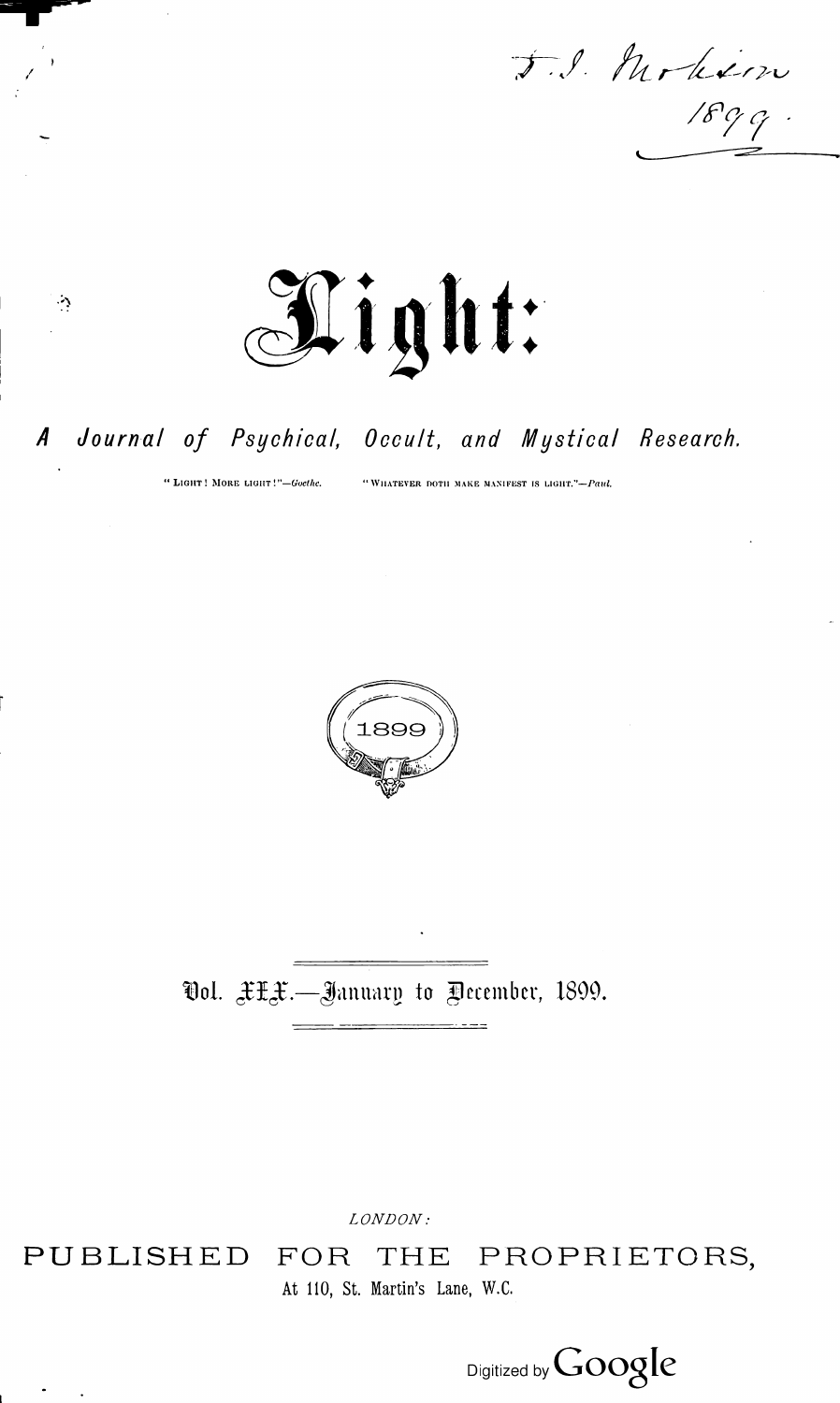J.S. Modinn



#### A Journal of Psychical, Occult, and Mystical Research.

" LIGHT! MORE LIGHT!"-Goethe.

 $\mathcal{L}_{\mathcal{L}}$ 

"WHATEVER DOTH MAKE MANIFEST IS LIGHT."-Paul.



# Ool. XXX.—January to Pecember, 1899.

LONDON:

## PUBLISHED FOR THE PROPRIETORS,

At 110, St. Martin's Lane, W.C.

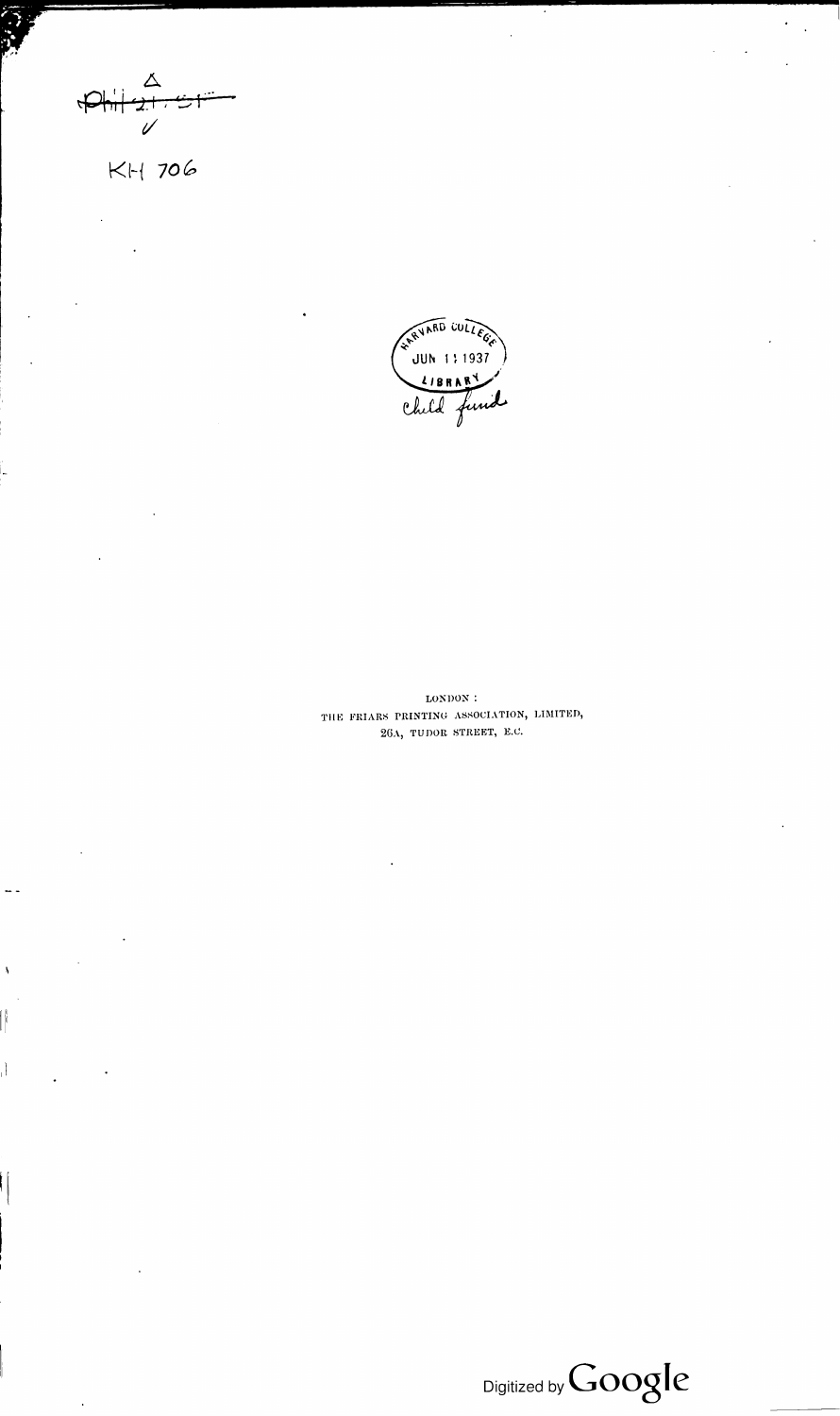

KH 706

LONDON : THE FRIARS PRINTING ASSOCIATION, LIMITED, 26A, TUDOR STREET, E.C.

I I  $\lambda$ 



 $\bullet$ 

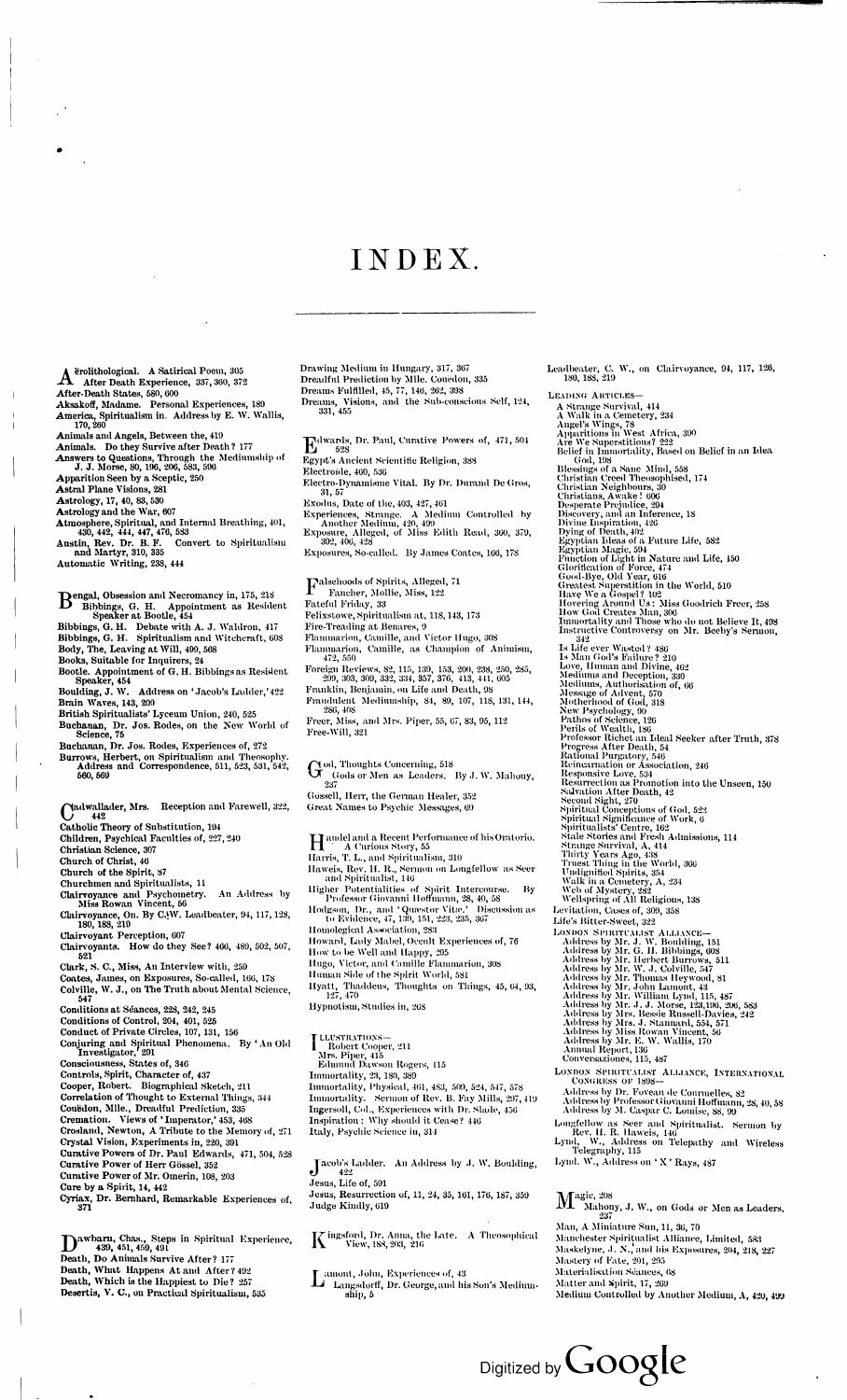### INDEX.

A erolithological. A Satirical Poem, 305<br>After Death Experience, 337, 360, 372<br>After Death States, 580, 600 erolithological. A Satirical Poem, 305

After-Death States, 580, 600

Aksakoff, Madame. Personal Experiences, 189

- America, Spiritualism in. Address by E. W. Wallis, 170, 260
- Animals and Angels, Between the, 419
- Animals. Do they Survive after Death ? 177

Answers to Questions, Through the Mediumship of J. J. Morse, 80, 196, 206, 583, 596

- Apparition Seen by a Sceptic, 250
- Astral Plane Visions, 281

Astrology, 17, 40, 83, 530

Astrology and the War, 607

- Atmosphere, Spiritual, and Internal Breathing, 401, 430, 442, 444, 447, 476, 583
- Austin, Rev. Dr. B. F. Convert to Spiritualism and Martyr, 310, 335

- Bengal, Obsession and Necromancy in, 175, 218<br>Bibbings, G. H. Appointment as Residents Bibbings, G. H. Appointment as Resident Speaker at Bootle, <sup>454</sup>
- Bibbings, G. H. Debate with A. J. Waldron, <sup>417</sup> Bibbings, G. H. Spiritualism and Witchcraft, 608
- Body, The, Leaving at Will, 499, <sup>568</sup>
- Books, Suitable for Inquirers, 24
- Bootle. Appointment of G. H. Bibbings as Resident Speaker, 454
- Boulding, J. W. Address on 'Jacob's Ladder,'422 Brain Waves, 143, 209
- British Spiritualists' Lyceum Union, 240, 525
- Buchanan, Dr. Jos. Rodes, on the New World of Science, 75
- Buchanan, Dr. Jos. Rodes, Experiences of, 272 Burrows, Herbert, on Spiritualism and Theosophy.

Automatic Writing, 238, 444

Address and Correspondence, 511, 523, 531, 542, 560, 569

Cadwallader, Mrs. Reception and Farewell, 322,<br>Catholic Theory of Substitution 104 442 Catholic Theory of Substitution, 194 Children, Psychical Faculties of, 227,240 Christian Science, 307 Church of Christ, 40 Church of the Spirit, 87 Churchmen and Spiritualists, <sup>11</sup> Clairvoyance and Psychometry. An Address by Miss Rowan Vincent, 56 Clairvoyance, On. By C.W. Leadbeater, 94, 117, 128, 180,188, 219 Clairvoyant Perception, 607 Clairvoyants. How do they See ? 466, 489, 502, 507, 521 Clark, S. C., Miss, An Interview with, 259 Coates, James, on Exposures, So-called, 166, 178 Colville, W. J., on The Truth about Mental Science, 547 Conditions at Seances, 228, 242, <sup>245</sup> Conditions of Control, 204, 401, 525 Conduct of Private Circles, 107, 131, 156 Conjuring and Spiritual Phenomena. By ' An Old Investigator, 201 Consciousness, States of, 346 Controls, Spirit, Character of, 437 Cooper, Robert. Biographical Sketch, 211 Correlation of Thought to External Things, 344 Couëdon, Mlle., Dreadful Prediction, 335 Cremation. Views of ' Imperator,' 453, 468 Crosland, Newton, A Tribute to the Memory of, 271 Crystal Vision, Experiments in, 220, 391 Curative Powers of Dr. Paul Edwards, 471, 504, 528 Curative Power of Herr Gössel, 352 Curative Power of Mr. Omerin, 108, 203 Cure by a Spirit, 14, <sup>442</sup> Cyriax, Dr. Bernhard, Remarkable Experiences of, 371

Dawbarn, Chas., Steps in Spiritual<br>Death, Do Animals Survive After? 177 awbarn, Chas., Steps in Spiritual Experience, 439, 451, 459, 491 Death, What Happens At and After? 492 Death, Which is the Happiest to Die ? 257 Desertis, V. C., on Practical Spiritualism, 535

Falsehoods of Spirits, Alleged, 71<br>Fancher, Mollie, Miss, 122<br>Fataful Friday, 23 Fancher, Mollie, Miss, 122 Fateful Friday, 33 Felixstowe, Spiritualism at, 118,143, 173 Fire-Treading at Benares, <sup>9</sup> Flammarion, Camille, and Victor Hugo, 308 Flammarion, Camille, as Champion of Animism, 472, 550 Foreign Reviews, 82, 115, 139, 153, 200, 238, 250, 285, 299, 303, 309, 332, 334, 357, 376, 413, 441, 605 Franklin, Benjamin, on Life and Death, 98 Fraudulent Mediumship, 84, 89, 107, 118, 131, 144, 286, 408 Freer, Miss, and Mrs. Piper, 55, 67, 83, 95, 112 Free-Will, 321

 $\mathrm{G}$  od, Thoughts Concerning, 518<br> $\mathrm{G}$  Gods or Men as Leaders. Gods or Men as Leaders. By J. W. Mahony, 237 Gossell, Herr, the German Healer, 352 Great Names to Psychic Messages, 69 Handel and a Recent Performance of his Oratorio.<br>Harris T. L. and Spiritualism, 310 A Curious Story, 55 Harris, T. L., and Spiritualism, 310 Haweis, Rev. H. R., Sermon on Longfellow as Seer and Spiritualist, 146 Higher Potentialities of Spirit Intercourse. By Professor Giovanni Hofimann, 28, 40, 58 Hodgson, Dr., and 'Quæstor Vitæ.' Discussion as to Evidence, 47, 139, 151, 223, 235, 367 llomolegical Association, 283 Howard, Lady Mabel, Occult Experiences of, 76 How to be Well and Happy, 295 Hugo, Victor, and Camille Flammarion, 308 Human Side of the Spirit World, 581 Hyatt, Thaddeus, Thoughts on Things, 45, 64, 93, 127, 170 Hypnotism, Studies in, 26S

Jacob's Ladder. An Address by J. W. Boulding,<br>Jesus. Life of 591 422 Jesus, Life of, 591 Jesus, Resurrection of, 11, 24, 35, 161, 176, 187, 359 Judge Kindly, 619

 $\rm K$  ingsford, Dr. Anna, the Late. – A Theosophical View, 188, 203,  $\,$  216 View, 188,203, 216

Drawing Medium in Hungary, 317, 367 Dreadful Prediction by Mlle. Couedon, 335 Dreams Fulfilled, 45, 77, 146, 262, 398 Dreams, Visions, and the Sub-conscious Self, 124, 331, 455

E dwards, Dr. Paul, Curative Powers of, 471, 501 528 Egypt's Ancient Scientific Religion, 388 Electroide, 460, 536 Electro-Dvnamisme Vital. By Dr. Durand De Gros, 31, 57\* Exodus, Date of the, 403, 427, 461 Experiences, Strange. A Medium Controlled by Another Medium, 420, 499 Exposure, Alleged, of Miss Edith Read, 360, 379,

392, 406, 428

Exposures, So-called. By James Coates, 166, 178

 $\rm M_{\tiny~Mahor}^{agic,~208}$ Mahony, J. W., on Gods or Men as Leaders, 237 Man, A Miniature Sun, 11, 36, 70 Manchester Spiritualist Alliance, Limited, 583 Maskelyne, J. N., and his Exposures, 204, 218, 227 Mastery of Fate, 201, 295 Materialisation Seances, 68 Matter and Spirit, 17, 269 Medium Controlled by Another Medium, A, 42U, 499

**T LLUSTRATIONS— <sup>1</sup>** Robert Cooper, 211 Mrs. Piper, 415 Edmund Dawson Rogers, <sup>115</sup> Immortality, 23, 180, 389 Immortality, Physical, 461, 483, 509, 524, 547, 578 Immortality. Sermon of Rev. B. Fay Mills, 297,419 Ingersoll, Col., Experiences with Dr. Slade, 456 Inspiration : Why should it Cease? 446 Italy, Psychic Science in, <sup>314</sup>

L amont, John, Experiences of, 43 Langsdorif, Dr. George, and his Son's Mediumship, 5

Leadbeater, C. W., on Clairvoyance, 94, 117, 126, 180, 188, 219

Leading Articles—

A Strange Survival, 414 A Walk in a Cemetery, <sup>234</sup> Angel's Wings, 78 Apparitions in West Africa, 390 Are We Superstitious? 222 Belief in Immortality, Based on Belief in an Idea God, 198 Blessings of a Sane Mind, 558 Christian Creed Theosophised, 174 Christian Neighbours, 30 Christians, Awake ! 606 Desperate Prejudice, 294 Discovery, and an Inference, 18 Divine Inspiration, 426 Dying of Death, 402 Egyptian Ideas of a Future Life, 582 Egyptian Magic, 594 Function of Light in Nature and Life, 150 Glorification of Force, 474 Good-Bye, Old Year, 616 Greatest Superstition in the World, 510 Have We a Gospel? 102 Hovering Around Us: Miss Goodrich Freer, <sup>258</sup> How God Creates Man, 306 Immortality and Those who do not Believe It, 498 Instructive Controversy on Mr. Beeby's Sermon, 342 Is Life ever Wasted ? 486 Is Man God's Failure? 210 Love, Human and Divine, 462 Mediumsand Deception, 330 .Mediums, Authorisation of, 66 Message of Advent, 570 Motherhood of God, 318 New Psychology, 90 Pathos of Science, 126 Perils of Wealth, 186 Professor Richet an Ideal Seeker after Truth, 378 Progress After Death, 54 Rational Purgatory, 546 Reincarnation or Association, 246 Responsive Love, 534 Resurrection as Promotion into the Unseen, 150 Salvation After Death, 42 Second Sight, 270 Spiritual Conceptions of God, 522 Spiritual Significance of Work, 6 Spiritualists' Centre, 162 Stale Stories and Fresh Admissions, 114 Strange Survival, A, 414 Thirty Years Ago, 438 Truest Thing in the World, 366 Undignified Spirits, 354 Walk in a Cemetery, A, 234 Web of Mystery, 282 Wellspring of All Religions, 138 Levitation, Cases of, 309, 358 Life's Bitter-Sweet, 322 Address by Mr. J. W. Boulding, 151 Address by Mr. G. H. Bibbings, 608 Address by Mr. Herbert Burrows, 511 .Address by Mr. W. J. Colville, 547 Address by Mr. Thomas Heywood, 81 Address by Mr. John Lamont, 43 Address by Mr. William Lynd, 115, 487 Address by Mr. J. J. Morse, 123,196, 206, <sup>583</sup> Address by Mrs. Bessie Russell-Davies, 242 Address by Mrs. J. Stannard, 554, 571 Address by Miss Rowan Vincent, 56 Address by Mr. E. W. Wallis, 170 Annual Report, 136 Conversaziones, 115, 487 LONDON SPIRITUALIST ALLIANCE, INTERNATIONAL CONGRESS OF 1898-Address by Dr. Foveau de Coumielles, 82 Address by Professor Giovanni Hoffmann, 28, 40, 58 Address by M. Caspar C. Lomise, 88, 99

- Longfellow as Seer and Spiritualist. Sermon by Rev. II. R. Haweis, 146
- Lynd, W., Address on Telepathy and Wireless Telegraphy, 115
- Lynd. W., Address on ' X ' Rays, 487